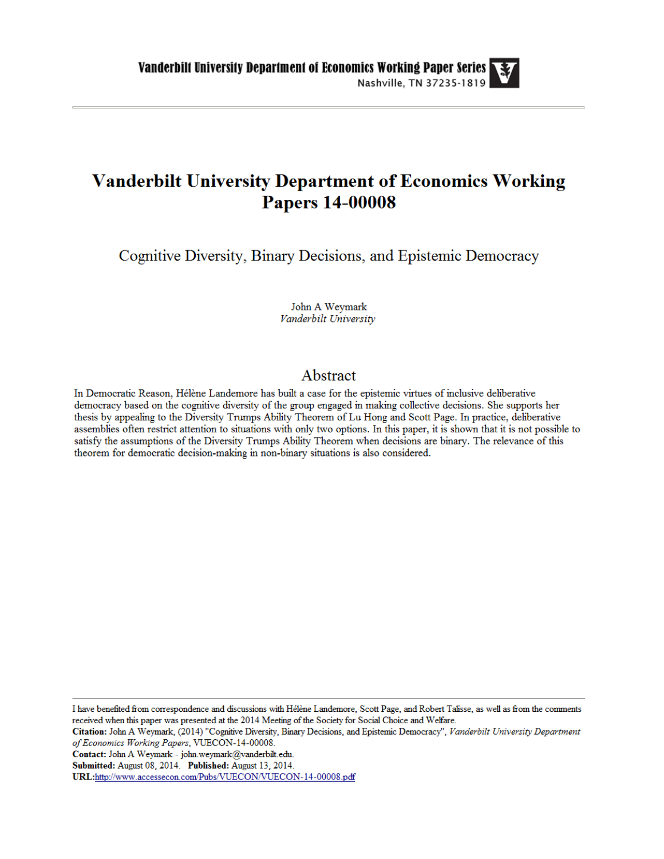# **Vanderbilt University Department of Economics Working Papers 14-00008**

Cognitive Diversity, Binary Decisions, and Epistemic Democracy

John A Weymark Vanderbilt University

# Abstract

In Democratic Reason, Hélène Landemore has built a case for the epistemic virtues of inclusive deliberative democracy based on the cognitive diversity of the group engaged in making collective decisions. She supports her thesis by appealing to the Diversity Trumps Ability Theorem of Lu Hong and Scott Page. In practice, deliberative assemblies often restrict attention to situations with only two options. In this paper, it is shown that it is not possible to satisfy the assumptions of the Diversity Trumps Ability Theorem when decisions are binary. The relevance of this theorem for democratic decision-making in non-binary situations is also considered.

I have benefited from correspondence and discussions with Hélène Landemore, Scott Page, and Robert Talisse, as well as from the comments received when this paper was presented at the 2014 Meeting of the Society for Social Choice and Welfare.

Citation: John A Weymark, (2014) "Cognitive Diversity, Binary Decisions, and Epistemic Democracy", Vanderbilt University Department of Economics Working Papers, VUECON-14-00008.

Contact: John A Weymark - john.weymark@vanderbilt.edu.

Submitted: August 08, 2014. Published: August 13, 2014.

URL:http://www.accessecon.com/Pubs/VUECON/VUECON-14-00008.pdf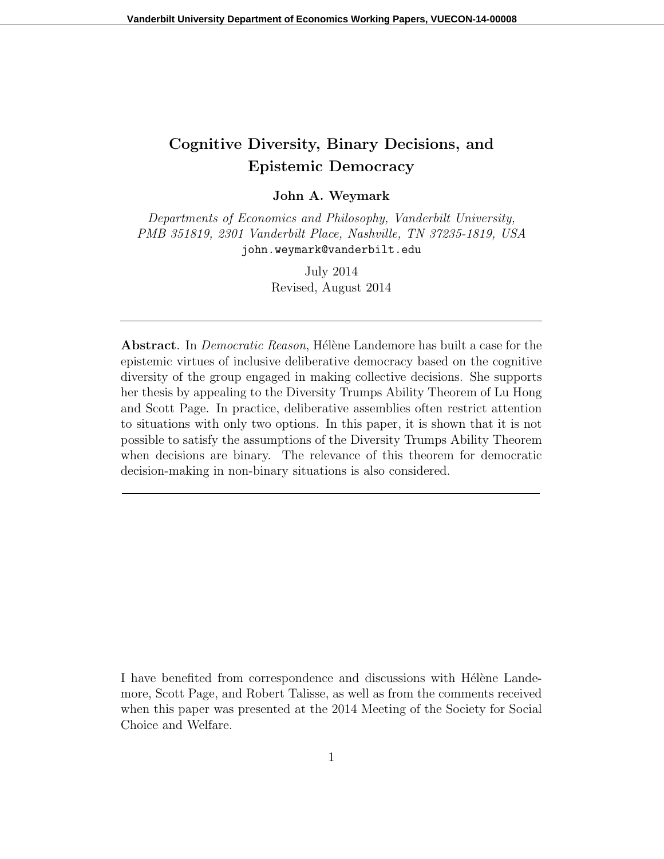# Cognitive Diversity, Binary Decisions, and Epistemic Democracy

John A. Weymark

Departments of Economics and Philosophy, Vanderbilt University, PMB 351819, 2301 Vanderbilt Place, Nashville, TN 37235-1819, USA john.weymark@vanderbilt.edu

> July 2014 Revised, August 2014

Abstract. In *Democratic Reason*, Hélène Landemore has built a case for the epistemic virtues of inclusive deliberative democracy based on the cognitive diversity of the group engaged in making collective decisions. She supports her thesis by appealing to the Diversity Trumps Ability Theorem of Lu Hong and Scott Page. In practice, deliberative assemblies often restrict attention to situations with only two options. In this paper, it is shown that it is not possible to satisfy the assumptions of the Diversity Trumps Ability Theorem when decisions are binary. The relevance of this theorem for democratic decision-making in non-binary situations is also considered.

I have benefited from correspondence and discussions with Helène Landemore, Scott Page, and Robert Talisse, as well as from the comments received when this paper was presented at the 2014 Meeting of the Society for Social Choice and Welfare.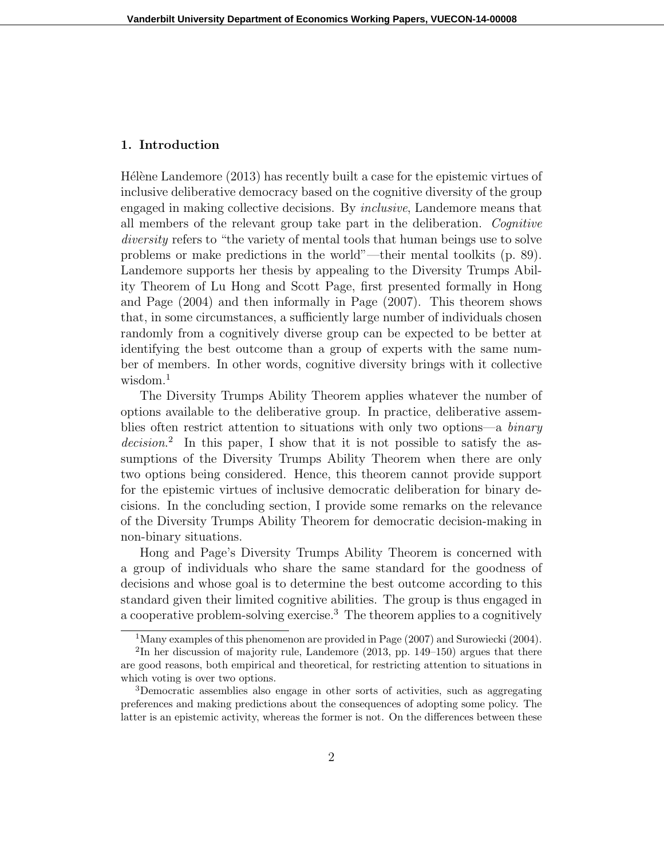# 1. Introduction

Hélène Landemore  $(2013)$  has recently built a case for the epistemic virtues of inclusive deliberative democracy based on the cognitive diversity of the group engaged in making collective decisions. By inclusive, Landemore means that all members of the relevant group take part in the deliberation. Cognitive diversity refers to "the variety of mental tools that human beings use to solve problems or make predictions in the world"—their mental toolkits (p. 89). Landemore supports her thesis by appealing to the Diversity Trumps Ability Theorem of Lu Hong and Scott Page, first presented formally in Hong and Page (2004) and then informally in Page (2007). This theorem shows that, in some circumstances, a sufficiently large number of individuals chosen randomly from a cognitively diverse group can be expected to be better at identifying the best outcome than a group of experts with the same number of members. In other words, cognitive diversity brings with it collective wisdom.<sup>1</sup>

The Diversity Trumps Ability Theorem applies whatever the number of options available to the deliberative group. In practice, deliberative assemblies often restrict attention to situations with only two options—a binary decision.<sup>2</sup> In this paper, I show that it is not possible to satisfy the assumptions of the Diversity Trumps Ability Theorem when there are only two options being considered. Hence, this theorem cannot provide support for the epistemic virtues of inclusive democratic deliberation for binary decisions. In the concluding section, I provide some remarks on the relevance of the Diversity Trumps Ability Theorem for democratic decision-making in non-binary situations.

Hong and Page's Diversity Trumps Ability Theorem is concerned with a group of individuals who share the same standard for the goodness of decisions and whose goal is to determine the best outcome according to this standard given their limited cognitive abilities. The group is thus engaged in a cooperative problem-solving exercise.<sup>3</sup> The theorem applies to a cognitively

<sup>&</sup>lt;sup>1</sup>Many examples of this phenomenon are provided in Page (2007) and Surowiecki (2004).

<sup>&</sup>lt;sup>2</sup>In her discussion of majority rule, Landemore (2013, pp. 149–150) argues that there are good reasons, both empirical and theoretical, for restricting attention to situations in which voting is over two options.

<sup>3</sup>Democratic assemblies also engage in other sorts of activities, such as aggregating preferences and making predictions about the consequences of adopting some policy. The latter is an epistemic activity, whereas the former is not. On the differences between these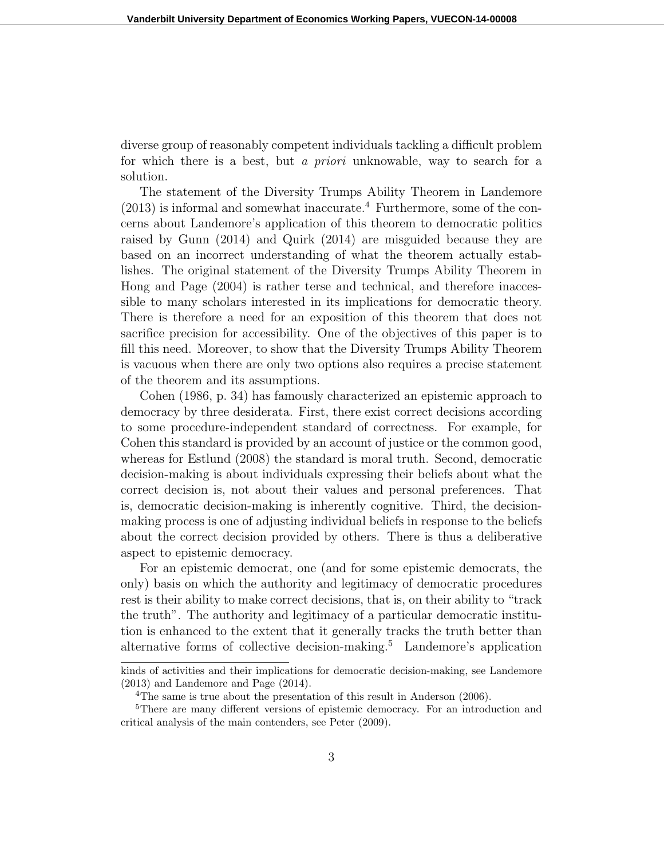diverse group of reasonably competent individuals tackling a difficult problem for which there is a best, but a priori unknowable, way to search for a solution.

The statement of the Diversity Trumps Ability Theorem in Landemore  $(2013)$  is informal and somewhat inaccurate.<sup>4</sup> Furthermore, some of the concerns about Landemore's application of this theorem to democratic politics raised by Gunn (2014) and Quirk (2014) are misguided because they are based on an incorrect understanding of what the theorem actually establishes. The original statement of the Diversity Trumps Ability Theorem in Hong and Page (2004) is rather terse and technical, and therefore inaccessible to many scholars interested in its implications for democratic theory. There is therefore a need for an exposition of this theorem that does not sacrifice precision for accessibility. One of the objectives of this paper is to fill this need. Moreover, to show that the Diversity Trumps Ability Theorem is vacuous when there are only two options also requires a precise statement of the theorem and its assumptions.

Cohen (1986, p. 34) has famously characterized an epistemic approach to democracy by three desiderata. First, there exist correct decisions according to some procedure-independent standard of correctness. For example, for Cohen this standard is provided by an account of justice or the common good, whereas for Estlund (2008) the standard is moral truth. Second, democratic decision-making is about individuals expressing their beliefs about what the correct decision is, not about their values and personal preferences. That is, democratic decision-making is inherently cognitive. Third, the decisionmaking process is one of adjusting individual beliefs in response to the beliefs about the correct decision provided by others. There is thus a deliberative aspect to epistemic democracy.

For an epistemic democrat, one (and for some epistemic democrats, the only) basis on which the authority and legitimacy of democratic procedures rest is their ability to make correct decisions, that is, on their ability to "track the truth". The authority and legitimacy of a particular democratic institution is enhanced to the extent that it generally tracks the truth better than alternative forms of collective decision-making.<sup>5</sup> Landemore's application

kinds of activities and their implications for democratic decision-making, see Landemore (2013) and Landemore and Page (2014).

<sup>&</sup>lt;sup>4</sup>The same is true about the presentation of this result in Anderson (2006).

<sup>&</sup>lt;sup>5</sup>There are many different versions of epistemic democracy. For an introduction and critical analysis of the main contenders, see Peter (2009).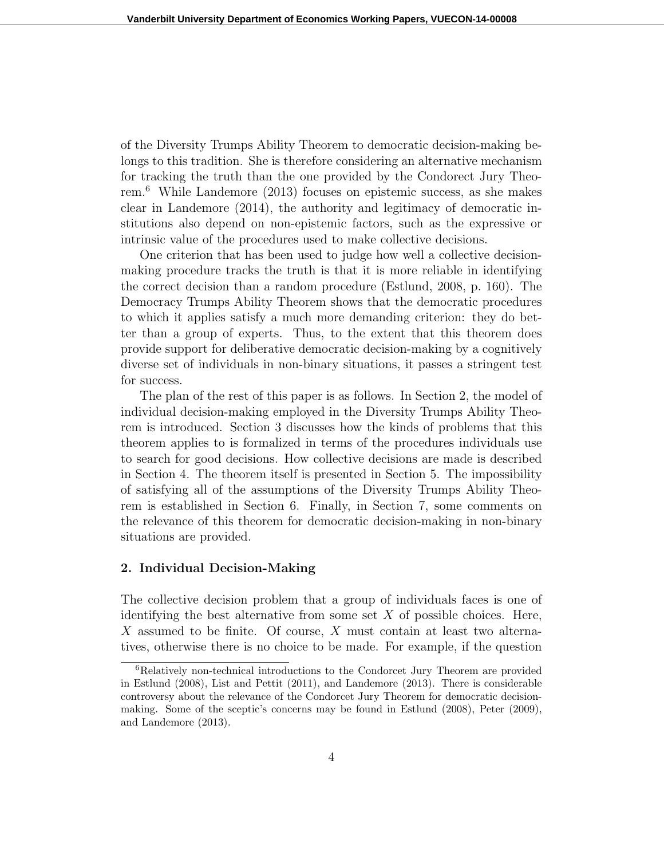of the Diversity Trumps Ability Theorem to democratic decision-making belongs to this tradition. She is therefore considering an alternative mechanism for tracking the truth than the one provided by the Condorect Jury Theorem.<sup>6</sup> While Landemore (2013) focuses on epistemic success, as she makes clear in Landemore (2014), the authority and legitimacy of democratic institutions also depend on non-epistemic factors, such as the expressive or intrinsic value of the procedures used to make collective decisions.

One criterion that has been used to judge how well a collective decisionmaking procedure tracks the truth is that it is more reliable in identifying the correct decision than a random procedure (Estlund, 2008, p. 160). The Democracy Trumps Ability Theorem shows that the democratic procedures to which it applies satisfy a much more demanding criterion: they do better than a group of experts. Thus, to the extent that this theorem does provide support for deliberative democratic decision-making by a cognitively diverse set of individuals in non-binary situations, it passes a stringent test for success.

The plan of the rest of this paper is as follows. In Section 2, the model of individual decision-making employed in the Diversity Trumps Ability Theorem is introduced. Section 3 discusses how the kinds of problems that this theorem applies to is formalized in terms of the procedures individuals use to search for good decisions. How collective decisions are made is described in Section 4. The theorem itself is presented in Section 5. The impossibility of satisfying all of the assumptions of the Diversity Trumps Ability Theorem is established in Section 6. Finally, in Section 7, some comments on the relevance of this theorem for democratic decision-making in non-binary situations are provided.

#### 2. Individual Decision-Making

The collective decision problem that a group of individuals faces is one of identifying the best alternative from some set  $X$  of possible choices. Here, X assumed to be finite. Of course, X must contain at least two alternatives, otherwise there is no choice to be made. For example, if the question

<sup>6</sup>Relatively non-technical introductions to the Condorcet Jury Theorem are provided in Estlund (2008), List and Pettit (2011), and Landemore (2013). There is considerable controversy about the relevance of the Condorcet Jury Theorem for democratic decisionmaking. Some of the sceptic's concerns may be found in Estlund (2008), Peter (2009), and Landemore (2013).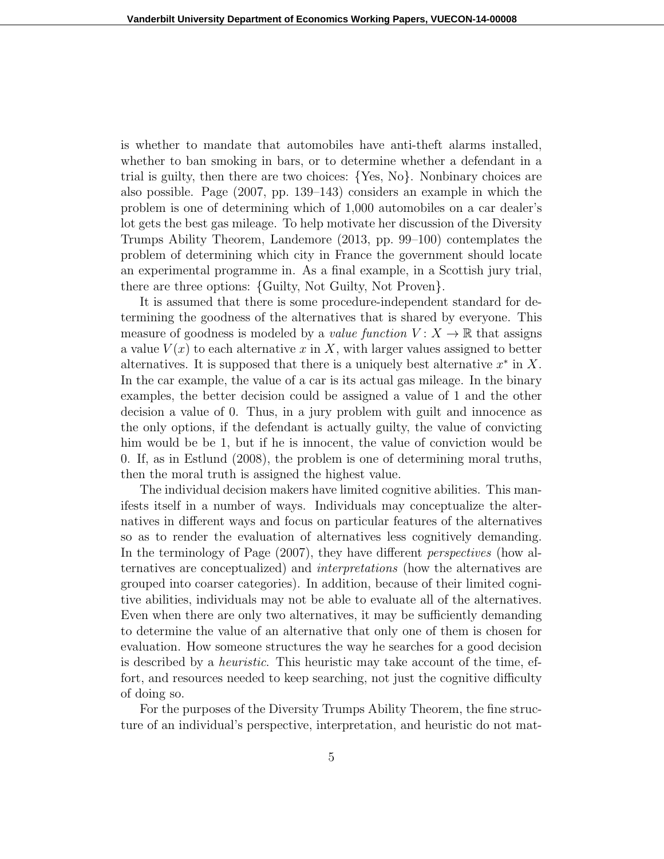is whether to mandate that automobiles have anti-theft alarms installed, whether to ban smoking in bars, or to determine whether a defendant in a trial is guilty, then there are two choices: {Yes, No}. Nonbinary choices are also possible. Page (2007, pp. 139–143) considers an example in which the problem is one of determining which of 1,000 automobiles on a car dealer's lot gets the best gas mileage. To help motivate her discussion of the Diversity Trumps Ability Theorem, Landemore (2013, pp. 99–100) contemplates the problem of determining which city in France the government should locate an experimental programme in. As a final example, in a Scottish jury trial, there are three options: {Guilty, Not Guilty, Not Proven}.

It is assumed that there is some procedure-independent standard for determining the goodness of the alternatives that is shared by everyone. This measure of goodness is modeled by a *value function*  $V: X \to \mathbb{R}$  that assigns a value  $V(x)$  to each alternative x in X, with larger values assigned to better alternatives. It is supposed that there is a uniquely best alternative  $x^*$  in X. In the car example, the value of a car is its actual gas mileage. In the binary examples, the better decision could be assigned a value of 1 and the other decision a value of 0. Thus, in a jury problem with guilt and innocence as the only options, if the defendant is actually guilty, the value of convicting him would be be 1, but if he is innocent, the value of conviction would be 0. If, as in Estlund (2008), the problem is one of determining moral truths, then the moral truth is assigned the highest value.

The individual decision makers have limited cognitive abilities. This manifests itself in a number of ways. Individuals may conceptualize the alternatives in different ways and focus on particular features of the alternatives so as to render the evaluation of alternatives less cognitively demanding. In the terminology of Page (2007), they have different perspectives (how alternatives are conceptualized) and interpretations (how the alternatives are grouped into coarser categories). In addition, because of their limited cognitive abilities, individuals may not be able to evaluate all of the alternatives. Even when there are only two alternatives, it may be sufficiently demanding to determine the value of an alternative that only one of them is chosen for evaluation. How someone structures the way he searches for a good decision is described by a heuristic. This heuristic may take account of the time, effort, and resources needed to keep searching, not just the cognitive difficulty of doing so.

For the purposes of the Diversity Trumps Ability Theorem, the fine structure of an individual's perspective, interpretation, and heuristic do not mat-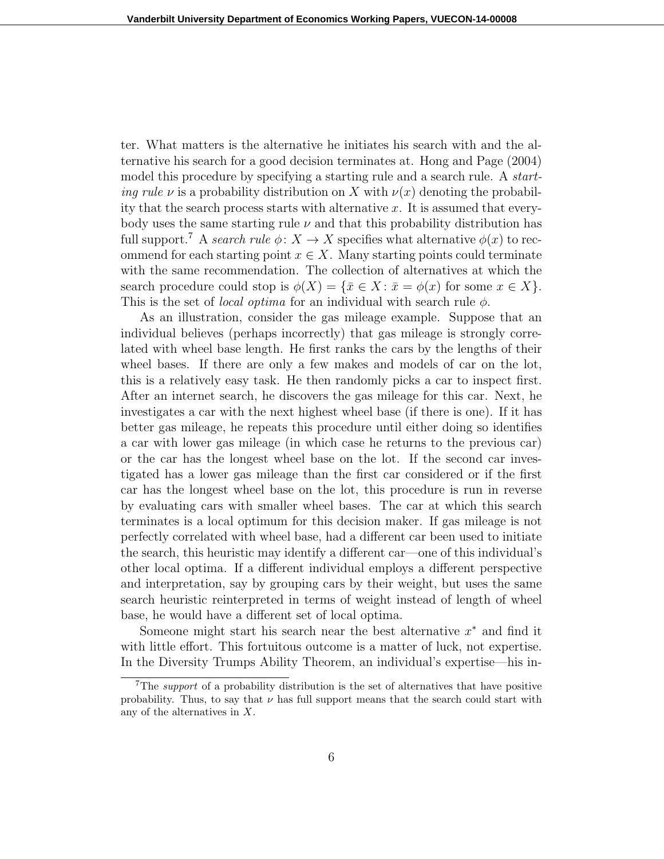ter. What matters is the alternative he initiates his search with and the alternative his search for a good decision terminates at. Hong and Page (2004) model this procedure by specifying a starting rule and a search rule. A start*ing rule v* is a probability distribution on X with  $\nu(x)$  denoting the probability that the search process starts with alternative  $x$ . It is assumed that everybody uses the same starting rule  $\nu$  and that this probability distribution has full support.<sup>7</sup> A search rule  $\phi: X \to X$  specifies what alternative  $\phi(x)$  to recommend for each starting point  $x \in X$ . Many starting points could terminate with the same recommendation. The collection of alternatives at which the search procedure could stop is  $\phi(X) = \{ \bar{x} \in X : \bar{x} = \phi(x) \text{ for some } x \in X \}.$ This is the set of *local optima* for an individual with search rule  $\phi$ .

As an illustration, consider the gas mileage example. Suppose that an individual believes (perhaps incorrectly) that gas mileage is strongly correlated with wheel base length. He first ranks the cars by the lengths of their wheel bases. If there are only a few makes and models of car on the lot, this is a relatively easy task. He then randomly picks a car to inspect first. After an internet search, he discovers the gas mileage for this car. Next, he investigates a car with the next highest wheel base (if there is one). If it has better gas mileage, he repeats this procedure until either doing so identifies a car with lower gas mileage (in which case he returns to the previous car) or the car has the longest wheel base on the lot. If the second car investigated has a lower gas mileage than the first car considered or if the first car has the longest wheel base on the lot, this procedure is run in reverse by evaluating cars with smaller wheel bases. The car at which this search terminates is a local optimum for this decision maker. If gas mileage is not perfectly correlated with wheel base, had a different car been used to initiate the search, this heuristic may identify a different car—one of this individual's other local optima. If a different individual employs a different perspective and interpretation, say by grouping cars by their weight, but uses the same search heuristic reinterpreted in terms of weight instead of length of wheel base, he would have a different set of local optima.

Someone might start his search near the best alternative  $x^*$  and find it with little effort. This fortuitous outcome is a matter of luck, not expertise. In the Diversity Trumps Ability Theorem, an individual's expertise—his in-

<sup>&</sup>lt;sup>7</sup>The *support* of a probability distribution is the set of alternatives that have positive probability. Thus, to say that  $\nu$  has full support means that the search could start with any of the alternatives in X.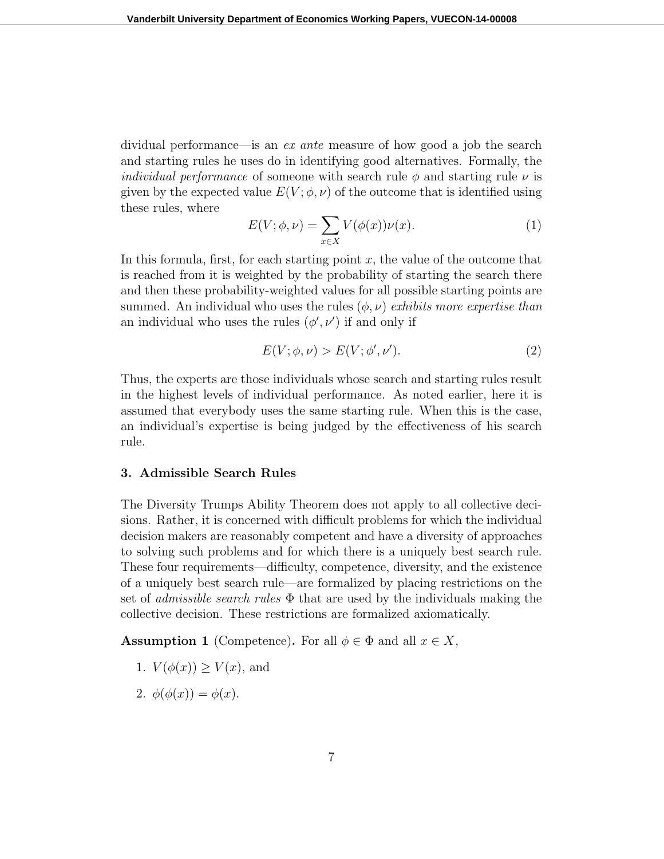dividual performance—is an ex ante measure of how good a job the search and starting rules he uses do in identifying good alternatives. Formally, the *individual performance* of someone with search rule  $\phi$  and starting rule  $\nu$  is given by the expected value  $E(V; \phi, \nu)$  of the outcome that is identified using these rules, where

$$
E(V; \phi, \nu) = \sum_{x \in X} V(\phi(x))\nu(x).
$$
 (1)

In this formula, first, for each starting point  $x$ , the value of the outcome that is reached from it is weighted by the probability of starting the search there and then these probability-weighted values for all possible starting points are summed. An individual who uses the rules  $(\phi, \nu)$  exhibits more expertise than an individual who uses the rules  $(\phi', \nu')$  if and only if

$$
E(V; \phi, \nu) > E(V; \phi', \nu').
$$
\n<sup>(2)</sup>

Thus, the experts are those individuals whose search and starting rules result in the highest levels of individual performance. As noted earlier, here it is assumed that everybody uses the same starting rule. When this is the case, an individual's expertise is being judged by the effectiveness of his search rule.

# 3. Admissible Search Rules

The Diversity Trumps Ability Theorem does not apply to all collective decisions. Rather, it is concerned with difficult problems for which the individual decision makers are reasonably competent and have a diversity of approaches to solving such problems and for which there is a uniquely best search rule. These four requirements—difficulty, competence, diversity, and the existence of a uniquely best search rule—are formalized by placing restrictions on the set of *admissible search rules*  $\Phi$  that are used by the individuals making the collective decision. These restrictions are formalized axiomatically.

**Assumption 1** (Competence). For all  $\phi \in \Phi$  and all  $x \in X$ ,

- 1.  $V(\phi(x)) > V(x)$ , and
- 2.  $\phi(\phi(x)) = \phi(x)$ .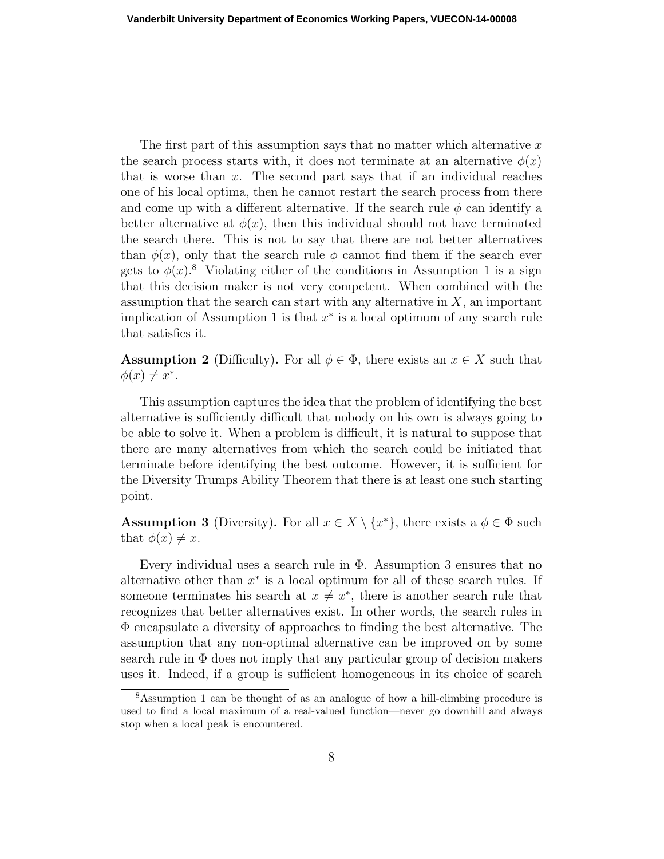The first part of this assumption says that no matter which alternative  $x$ the search process starts with, it does not terminate at an alternative  $\phi(x)$ that is worse than  $x$ . The second part says that if an individual reaches one of his local optima, then he cannot restart the search process from there and come up with a different alternative. If the search rule  $\phi$  can identify a better alternative at  $\phi(x)$ , then this individual should not have terminated the search there. This is not to say that there are not better alternatives than  $\phi(x)$ , only that the search rule  $\phi$  cannot find them if the search ever gets to  $\phi(x)$ .<sup>8</sup> Violating either of the conditions in Assumption 1 is a sign that this decision maker is not very competent. When combined with the assumption that the search can start with any alternative in  $X$ , an important implication of Assumption 1 is that  $x^*$  is a local optimum of any search rule that satisfies it.

**Assumption 2** (Difficulty). For all  $\phi \in \Phi$ , there exists an  $x \in X$  such that  $\phi(x) \neq x^*$ .

This assumption captures the idea that the problem of identifying the best alternative is sufficiently difficult that nobody on his own is always going to be able to solve it. When a problem is difficult, it is natural to suppose that there are many alternatives from which the search could be initiated that terminate before identifying the best outcome. However, it is sufficient for the Diversity Trumps Ability Theorem that there is at least one such starting point.

**Assumption 3** (Diversity). For all  $x \in X \setminus \{x^*\}$ , there exists a  $\phi \in \Phi$  such that  $\phi(x) \neq x$ .

Every individual uses a search rule in  $\Phi$ . Assumption 3 ensures that no alternative other than  $x^*$  is a local optimum for all of these search rules. If someone terminates his search at  $x \neq x^*$ , there is another search rule that recognizes that better alternatives exist. In other words, the search rules in Φ encapsulate a diversity of approaches to finding the best alternative. The assumption that any non-optimal alternative can be improved on by some search rule in  $\Phi$  does not imply that any particular group of decision makers uses it. Indeed, if a group is sufficient homogeneous in its choice of search

<sup>8</sup>Assumption 1 can be thought of as an analogue of how a hill-climbing procedure is used to find a local maximum of a real-valued function—never go downhill and always stop when a local peak is encountered.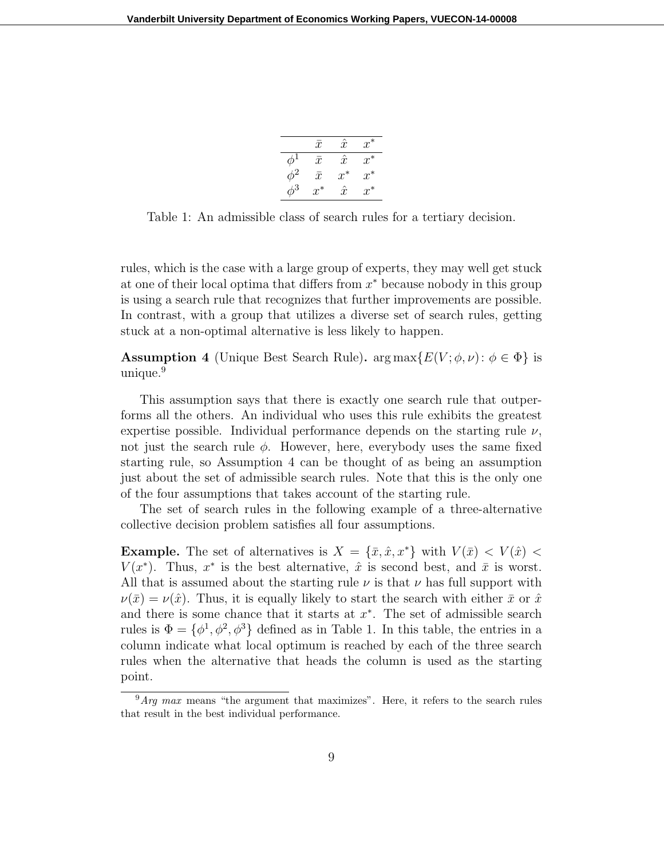|          | $\bar{x}$ | $\hat{x}$ | $x^*$ |
|----------|-----------|-----------|-------|
| $\phi^1$ | $\bar{x}$ | $\hat{x}$ | $x^*$ |
| $\phi^2$ | $\bar{x}$ | $x^*$     | $x^*$ |
| $\phi^3$ | $x^*$     | $\hat{x}$ | $x^*$ |

Table 1: An admissible class of search rules for a tertiary decision.

rules, which is the case with a large group of experts, they may well get stuck at one of their local optima that differs from  $x^*$  because nobody in this group is using a search rule that recognizes that further improvements are possible. In contrast, with a group that utilizes a diverse set of search rules, getting stuck at a non-optimal alternative is less likely to happen.

**Assumption 4** (Unique Best Search Rule).  $\arg \max \{ E(V; \phi, \nu) : \phi \in \Phi \}$  is unique.<sup>9</sup>

This assumption says that there is exactly one search rule that outperforms all the others. An individual who uses this rule exhibits the greatest expertise possible. Individual performance depends on the starting rule  $\nu$ , not just the search rule  $\phi$ . However, here, everybody uses the same fixed starting rule, so Assumption 4 can be thought of as being an assumption just about the set of admissible search rules. Note that this is the only one of the four assumptions that takes account of the starting rule.

The set of search rules in the following example of a three-alternative collective decision problem satisfies all four assumptions.

**Example.** The set of alternatives is  $X = {\bar{x}, \hat{x}, x^*}$  with  $V(\bar{x}) < V(\hat{x})$  $V(x^*)$ . Thus,  $x^*$  is the best alternative,  $\hat{x}$  is second best, and  $\bar{x}$  is worst. All that is assumed about the starting rule  $\nu$  is that  $\nu$  has full support with  $\nu(\bar{x}) = \nu(\hat{x})$ . Thus, it is equally likely to start the search with either  $\bar{x}$  or  $\hat{x}$ and there is some chance that it starts at  $x^*$ . The set of admissible search rules is  $\Phi = {\phi^1, \phi^2, \phi^3}$  defined as in Table 1. In this table, the entries in a column indicate what local optimum is reached by each of the three search rules when the alternative that heads the column is used as the starting point.

 $9$ Arg max means "the argument that maximizes". Here, it refers to the search rules that result in the best individual performance.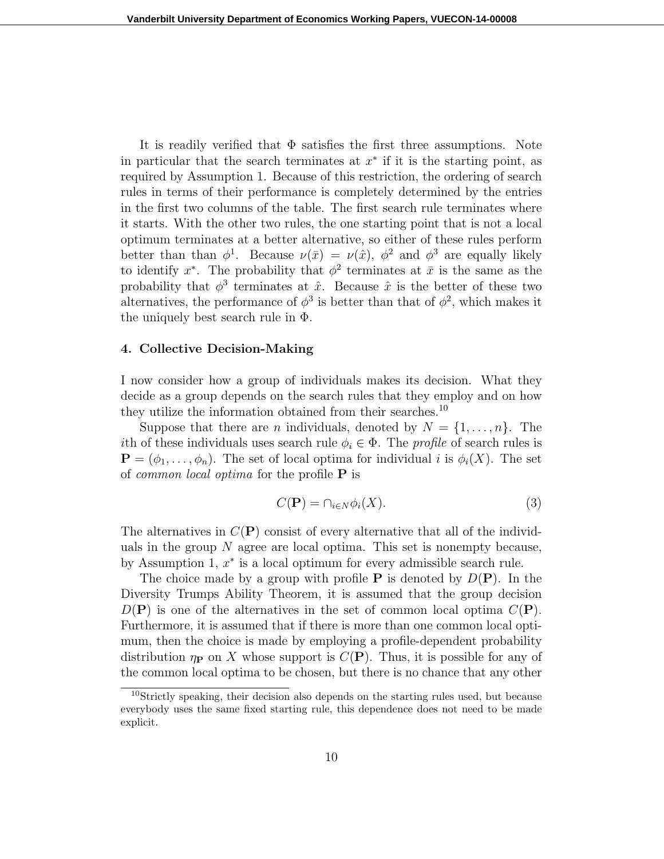It is readily verified that  $\Phi$  satisfies the first three assumptions. Note in particular that the search terminates at  $x^*$  if it is the starting point, as required by Assumption 1. Because of this restriction, the ordering of search rules in terms of their performance is completely determined by the entries in the first two columns of the table. The first search rule terminates where it starts. With the other two rules, the one starting point that is not a local optimum terminates at a better alternative, so either of these rules perform better than than  $\phi^1$ . Because  $\nu(\bar{x}) = \nu(\hat{x})$ ,  $\phi^2$  and  $\phi^3$  are equally likely to identify  $x^*$ . The probability that  $\phi^2$  terminates at  $\bar{x}$  is the same as the probability that  $\phi^3$  terminates at  $\hat{x}$ . Because  $\hat{x}$  is the better of these two alternatives, the performance of  $\phi^3$  is better than that of  $\phi^2$ , which makes it the uniquely best search rule in  $\Phi$ .

#### 4. Collective Decision-Making

I now consider how a group of individuals makes its decision. What they decide as a group depends on the search rules that they employ and on how they utilize the information obtained from their searches.<sup>10</sup>

Suppose that there are *n* individuals, denoted by  $N = \{1, \ldots, n\}$ . The ith of these individuals uses search rule  $\phi_i \in \Phi$ . The *profile* of search rules is  $\mathbf{P} = (\phi_1, \ldots, \phi_n)$ . The set of local optima for individual i is  $\phi_i(X)$ . The set of *common local optima* for the profile  $P$  is

$$
C(\mathbf{P}) = \cap_{i \in N} \phi_i(X). \tag{3}
$$

The alternatives in  $C(P)$  consist of every alternative that all of the individuals in the group  $N$  agree are local optima. This set is nonempty because, by Assumption 1,  $x^*$  is a local optimum for every admissible search rule.

The choice made by a group with profile **P** is denoted by  $D(\mathbf{P})$ . In the Diversity Trumps Ability Theorem, it is assumed that the group decision  $D(\mathbf{P})$  is one of the alternatives in the set of common local optima  $C(\mathbf{P})$ . Furthermore, it is assumed that if there is more than one common local optimum, then the choice is made by employing a profile-dependent probability distribution  $\eta_{\text{P}}$  on X whose support is  $C(\text{P})$ . Thus, it is possible for any of the common local optima to be chosen, but there is no chance that any other

<sup>&</sup>lt;sup>10</sup>Strictly speaking, their decision also depends on the starting rules used, but because everybody uses the same fixed starting rule, this dependence does not need to be made explicit.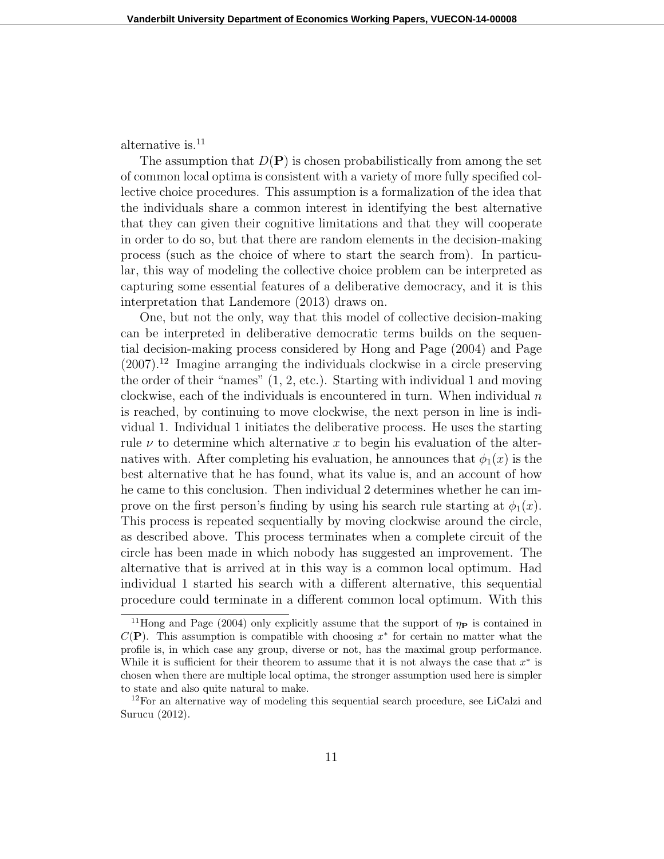alternative is.<sup>11</sup>

The assumption that  $D(P)$  is chosen probabilistically from among the set of common local optima is consistent with a variety of more fully specified collective choice procedures. This assumption is a formalization of the idea that the individuals share a common interest in identifying the best alternative that they can given their cognitive limitations and that they will cooperate in order to do so, but that there are random elements in the decision-making process (such as the choice of where to start the search from). In particular, this way of modeling the collective choice problem can be interpreted as capturing some essential features of a deliberative democracy, and it is this interpretation that Landemore (2013) draws on.

One, but not the only, way that this model of collective decision-making can be interpreted in deliberative democratic terms builds on the sequential decision-making process considered by Hong and Page (2004) and Page  $(2007)^{12}$  Imagine arranging the individuals clockwise in a circle preserving the order of their "names" (1, 2, etc.). Starting with individual 1 and moving clockwise, each of the individuals is encountered in turn. When individual  $n$ is reached, by continuing to move clockwise, the next person in line is individual 1. Individual 1 initiates the deliberative process. He uses the starting rule  $\nu$  to determine which alternative x to begin his evaluation of the alternatives with. After completing his evaluation, he announces that  $\phi_1(x)$  is the best alternative that he has found, what its value is, and an account of how he came to this conclusion. Then individual 2 determines whether he can improve on the first person's finding by using his search rule starting at  $\phi_1(x)$ . This process is repeated sequentially by moving clockwise around the circle, as described above. This process terminates when a complete circuit of the circle has been made in which nobody has suggested an improvement. The alternative that is arrived at in this way is a common local optimum. Had individual 1 started his search with a different alternative, this sequential procedure could terminate in a different common local optimum. With this

<sup>&</sup>lt;sup>11</sup>Hong and Page (2004) only explicitly assume that the support of  $\eta_{\rm P}$  is contained in  $C(\mathbf{P})$ . This assumption is compatible with choosing  $x^*$  for certain no matter what the profile is, in which case any group, diverse or not, has the maximal group performance. While it is sufficient for their theorem to assume that it is not always the case that  $x^*$  is chosen when there are multiple local optima, the stronger assumption used here is simpler to state and also quite natural to make.

<sup>&</sup>lt;sup>12</sup>For an alternative way of modeling this sequential search procedure, see LiCalzi and Surucu (2012).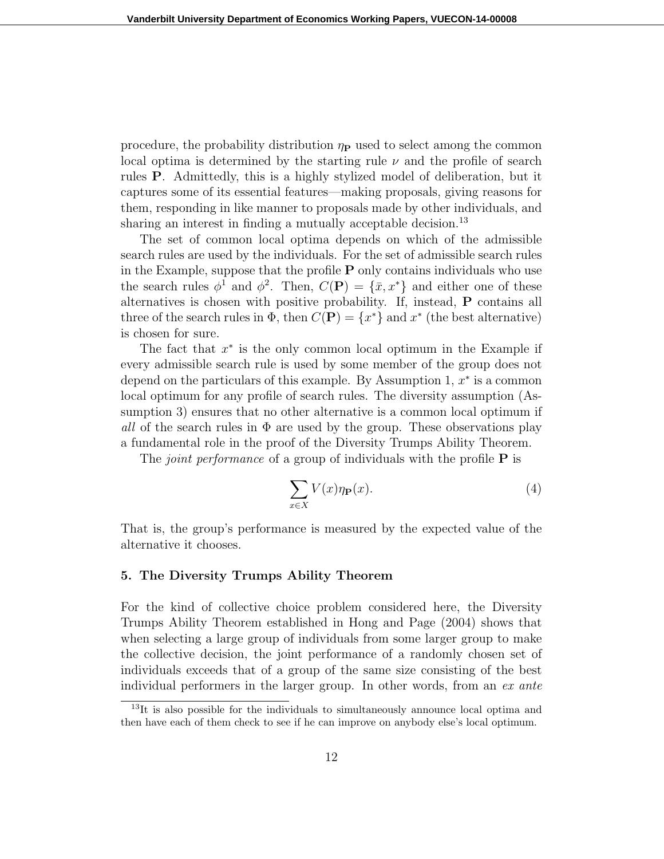procedure, the probability distribution  $\eta_P$  used to select among the common local optima is determined by the starting rule  $\nu$  and the profile of search rules P. Admittedly, this is a highly stylized model of deliberation, but it captures some of its essential features—making proposals, giving reasons for them, responding in like manner to proposals made by other individuals, and sharing an interest in finding a mutually acceptable decision.<sup>13</sup>

The set of common local optima depends on which of the admissible search rules are used by the individuals. For the set of admissible search rules in the Example, suppose that the profile P only contains individuals who use the search rules  $\phi^1$  and  $\phi^2$ . Then,  $C(\mathbf{P}) = {\bar{x}, x^*}$  and either one of these alternatives is chosen with positive probability. If, instead, P contains all three of the search rules in  $\Phi$ , then  $C(\mathbf{P}) = \{x^*\}$  and  $x^*$  (the best alternative) is chosen for sure.

The fact that  $x^*$  is the only common local optimum in the Example if every admissible search rule is used by some member of the group does not depend on the particulars of this example. By Assumption 1,  $x^*$  is a common local optimum for any profile of search rules. The diversity assumption (Assumption 3) ensures that no other alternative is a common local optimum if all of the search rules in  $\Phi$  are used by the group. These observations play a fundamental role in the proof of the Diversity Trumps Ability Theorem.

The *joint performance* of a group of individuals with the profile  $P$  is

$$
\sum_{x \in X} V(x)\eta_{\mathbf{P}}(x). \tag{4}
$$

That is, the group's performance is measured by the expected value of the alternative it chooses.

### 5. The Diversity Trumps Ability Theorem

For the kind of collective choice problem considered here, the Diversity Trumps Ability Theorem established in Hong and Page (2004) shows that when selecting a large group of individuals from some larger group to make the collective decision, the joint performance of a randomly chosen set of individuals exceeds that of a group of the same size consisting of the best individual performers in the larger group. In other words, from an ex ante

<sup>&</sup>lt;sup>13</sup>It is also possible for the individuals to simultaneously announce local optima and then have each of them check to see if he can improve on anybody else's local optimum.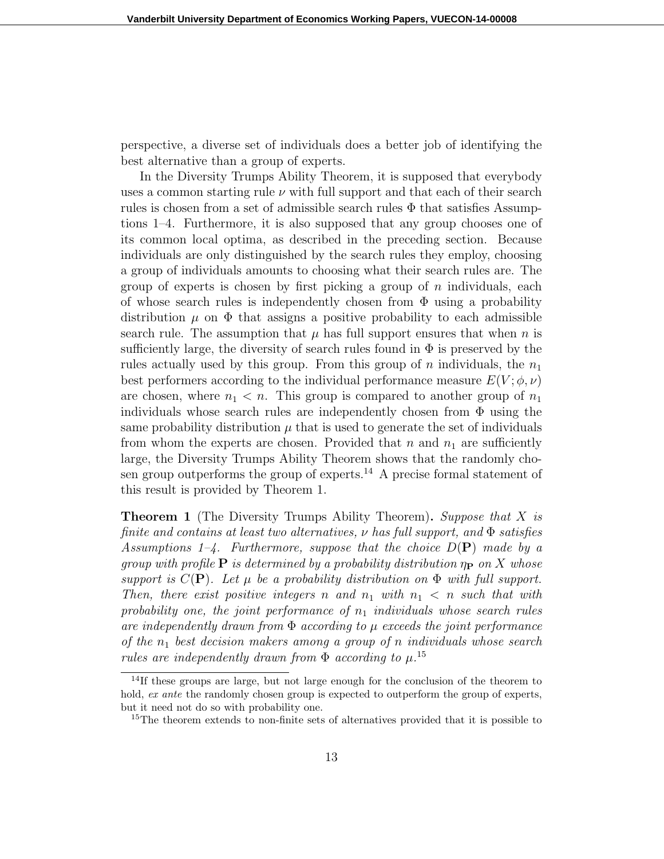perspective, a diverse set of individuals does a better job of identifying the best alternative than a group of experts.

In the Diversity Trumps Ability Theorem, it is supposed that everybody uses a common starting rule  $\nu$  with full support and that each of their search rules is chosen from a set of admissible search rules  $\Phi$  that satisfies Assumptions 1–4. Furthermore, it is also supposed that any group chooses one of its common local optima, as described in the preceding section. Because individuals are only distinguished by the search rules they employ, choosing a group of individuals amounts to choosing what their search rules are. The group of experts is chosen by first picking a group of  $n$  individuals, each of whose search rules is independently chosen from  $\Phi$  using a probability distribution  $\mu$  on  $\Phi$  that assigns a positive probability to each admissible search rule. The assumption that  $\mu$  has full support ensures that when n is sufficiently large, the diversity of search rules found in  $\Phi$  is preserved by the rules actually used by this group. From this group of n individuals, the  $n_1$ best performers according to the individual performance measure  $E(V; \phi, \nu)$ are chosen, where  $n_1 < n$ . This group is compared to another group of  $n_1$ individuals whose search rules are independently chosen from  $\Phi$  using the same probability distribution  $\mu$  that is used to generate the set of individuals from whom the experts are chosen. Provided that  $n$  and  $n_1$  are sufficiently large, the Diversity Trumps Ability Theorem shows that the randomly chosen group outperforms the group of experts.<sup>14</sup> A precise formal statement of this result is provided by Theorem 1.

**Theorem 1** (The Diversity Trumps Ability Theorem). Suppose that X is finite and contains at least two alternatives,  $\nu$  has full support, and  $\Phi$  satisfies Assumptions  $1-4$ . Furthermore, suppose that the choice  $D(\mathbf{P})$  made by a group with profile  $P$  is determined by a probability distribution  $\eta_P$  on X whose support is  $C(\mathbf{P})$ . Let  $\mu$  be a probability distribution on  $\Phi$  with full support. Then, there exist positive integers n and  $n_1$  with  $n_1 < n$  such that with probability one, the joint performance of  $n_1$  individuals whose search rules are independently drawn from  $\Phi$  according to  $\mu$  exceeds the joint performance of the  $n_1$  best decision makers among a group of n individuals whose search rules are independently drawn from  $\Phi$  according to  $\mu$ .<sup>15</sup>

 $14$ If these groups are large, but not large enough for the conclusion of the theorem to hold, ex ante the randomly chosen group is expected to outperform the group of experts, but it need not do so with probability one.

<sup>&</sup>lt;sup>15</sup>The theorem extends to non-finite sets of alternatives provided that it is possible to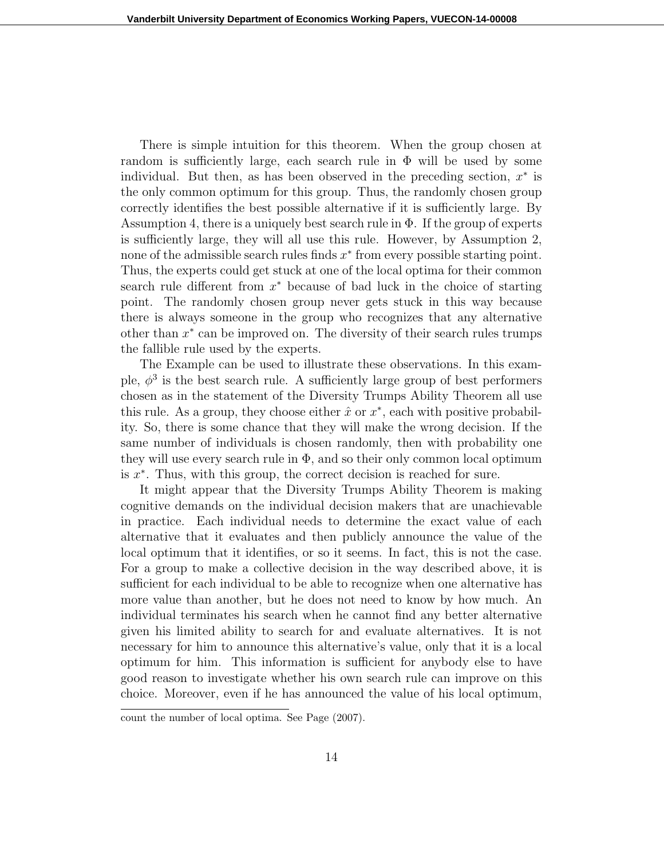There is simple intuition for this theorem. When the group chosen at random is sufficiently large, each search rule in  $\Phi$  will be used by some individual. But then, as has been observed in the preceding section,  $x^*$  is the only common optimum for this group. Thus, the randomly chosen group correctly identifies the best possible alternative if it is sufficiently large. By Assumption 4, there is a uniquely best search rule in  $\Phi$ . If the group of experts is sufficiently large, they will all use this rule. However, by Assumption 2, none of the admissible search rules finds  $x^*$  from every possible starting point. Thus, the experts could get stuck at one of the local optima for their common search rule different from  $x^*$  because of bad luck in the choice of starting point. The randomly chosen group never gets stuck in this way because there is always someone in the group who recognizes that any alternative other than  $x^*$  can be improved on. The diversity of their search rules trumps the fallible rule used by the experts.

The Example can be used to illustrate these observations. In this example,  $\phi^3$  is the best search rule. A sufficiently large group of best performers chosen as in the statement of the Diversity Trumps Ability Theorem all use this rule. As a group, they choose either  $\hat{x}$  or  $x^*$ , each with positive probability. So, there is some chance that they will make the wrong decision. If the same number of individuals is chosen randomly, then with probability one they will use every search rule in  $\Phi$ , and so their only common local optimum is  $x^*$ . Thus, with this group, the correct decision is reached for sure.

It might appear that the Diversity Trumps Ability Theorem is making cognitive demands on the individual decision makers that are unachievable in practice. Each individual needs to determine the exact value of each alternative that it evaluates and then publicly announce the value of the local optimum that it identifies, or so it seems. In fact, this is not the case. For a group to make a collective decision in the way described above, it is sufficient for each individual to be able to recognize when one alternative has more value than another, but he does not need to know by how much. An individual terminates his search when he cannot find any better alternative given his limited ability to search for and evaluate alternatives. It is not necessary for him to announce this alternative's value, only that it is a local optimum for him. This information is sufficient for anybody else to have good reason to investigate whether his own search rule can improve on this choice. Moreover, even if he has announced the value of his local optimum,

count the number of local optima. See Page (2007).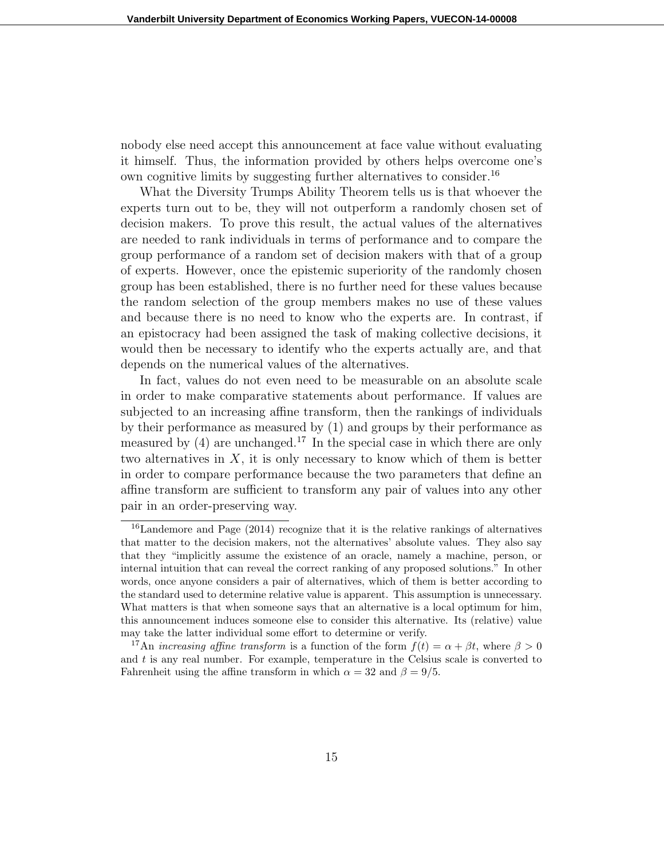nobody else need accept this announcement at face value without evaluating it himself. Thus, the information provided by others helps overcome one's own cognitive limits by suggesting further alternatives to consider.<sup>16</sup>

What the Diversity Trumps Ability Theorem tells us is that whoever the experts turn out to be, they will not outperform a randomly chosen set of decision makers. To prove this result, the actual values of the alternatives are needed to rank individuals in terms of performance and to compare the group performance of a random set of decision makers with that of a group of experts. However, once the epistemic superiority of the randomly chosen group has been established, there is no further need for these values because the random selection of the group members makes no use of these values and because there is no need to know who the experts are. In contrast, if an epistocracy had been assigned the task of making collective decisions, it would then be necessary to identify who the experts actually are, and that depends on the numerical values of the alternatives.

In fact, values do not even need to be measurable on an absolute scale in order to make comparative statements about performance. If values are subjected to an increasing affine transform, then the rankings of individuals by their performance as measured by (1) and groups by their performance as measured by  $(4)$  are unchanged.<sup>17</sup> In the special case in which there are only two alternatives in  $X$ , it is only necessary to know which of them is better in order to compare performance because the two parameters that define an affine transform are sufficient to transform any pair of values into any other pair in an order-preserving way.

 $16$ Landemore and Page (2014) recognize that it is the relative rankings of alternatives that matter to the decision makers, not the alternatives' absolute values. They also say that they "implicitly assume the existence of an oracle, namely a machine, person, or internal intuition that can reveal the correct ranking of any proposed solutions." In other words, once anyone considers a pair of alternatives, which of them is better according to the standard used to determine relative value is apparent. This assumption is unnecessary. What matters is that when someone says that an alternative is a local optimum for him, this announcement induces someone else to consider this alternative. Its (relative) value may take the latter individual some effort to determine or verify.

<sup>&</sup>lt;sup>17</sup>An *increasing affine transform* is a function of the form  $f(t) = \alpha + \beta t$ , where  $\beta > 0$ and  $t$  is any real number. For example, temperature in the Celsius scale is converted to Fahrenheit using the affine transform in which  $\alpha = 32$  and  $\beta = 9/5$ .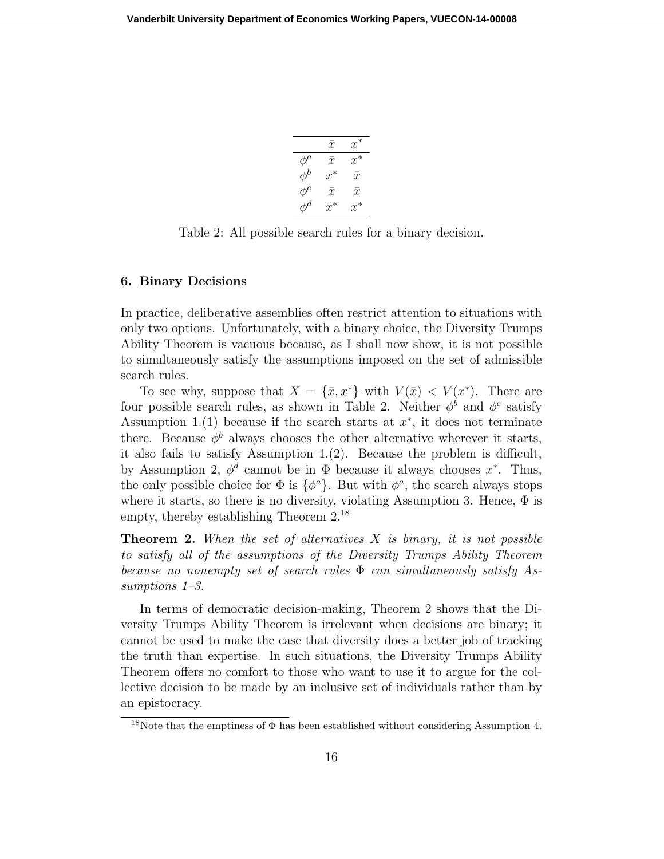|          | $\mathcal{X}$ | $x^*$         |
|----------|---------------|---------------|
| $\phi^a$ | $\bar{x}$     | $x^*$         |
| $\phi^b$ | $x^*$         | $\mathcal{X}$ |
| $\phi^c$ | $\bar{x}$     | $\bar{x}$     |
| $\phi^d$ | $x^*$         | $x^*$         |

Table 2: All possible search rules for a binary decision.

# 6. Binary Decisions

In practice, deliberative assemblies often restrict attention to situations with only two options. Unfortunately, with a binary choice, the Diversity Trumps Ability Theorem is vacuous because, as I shall now show, it is not possible to simultaneously satisfy the assumptions imposed on the set of admissible search rules.

To see why, suppose that  $X = {\bar{x}, x^*}$  with  $V(\bar{x}) < V(x^*)$ . There are four possible search rules, as shown in Table 2. Neither  $\phi^b$  and  $\phi^c$  satisfy Assumption 1.(1) because if the search starts at  $x^*$ , it does not terminate there. Because  $\phi^b$  always chooses the other alternative wherever it starts, it also fails to satisfy Assumption 1.(2). Because the problem is difficult, by Assumption 2,  $\phi^d$  cannot be in  $\Phi$  because it always chooses  $x^*$ . Thus, the only possible choice for  $\Phi$  is  $\{\phi^a\}$ . But with  $\phi^a$ , the search always stops where it starts, so there is no diversity, violating Assumption 3. Hence,  $\Phi$  is empty, thereby establishing Theorem 2.<sup>18</sup>

**Theorem 2.** When the set of alternatives  $X$  is binary, it is not possible to satisfy all of the assumptions of the Diversity Trumps Ability Theorem because no nonempty set of search rules  $\Phi$  can simultaneously satisfy Assumptions 1–3.

In terms of democratic decision-making, Theorem 2 shows that the Diversity Trumps Ability Theorem is irrelevant when decisions are binary; it cannot be used to make the case that diversity does a better job of tracking the truth than expertise. In such situations, the Diversity Trumps Ability Theorem offers no comfort to those who want to use it to argue for the collective decision to be made by an inclusive set of individuals rather than by an epistocracy.

<sup>&</sup>lt;sup>18</sup>Note that the emptiness of  $\Phi$  has been established without considering Assumption 4.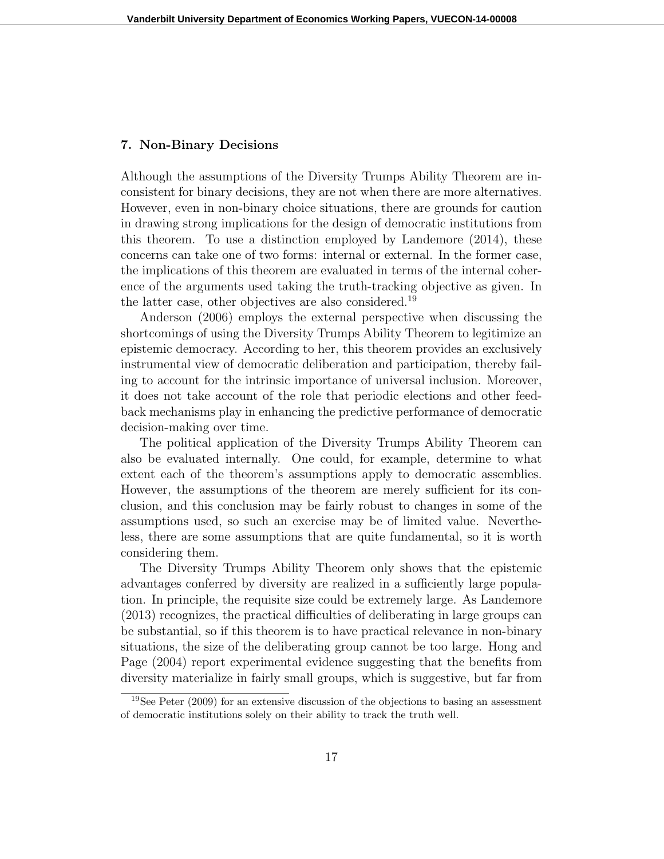# 7. Non-Binary Decisions

Although the assumptions of the Diversity Trumps Ability Theorem are inconsistent for binary decisions, they are not when there are more alternatives. However, even in non-binary choice situations, there are grounds for caution in drawing strong implications for the design of democratic institutions from this theorem. To use a distinction employed by Landemore (2014), these concerns can take one of two forms: internal or external. In the former case, the implications of this theorem are evaluated in terms of the internal coherence of the arguments used taking the truth-tracking objective as given. In the latter case, other objectives are also considered.<sup>19</sup>

Anderson (2006) employs the external perspective when discussing the shortcomings of using the Diversity Trumps Ability Theorem to legitimize an epistemic democracy. According to her, this theorem provides an exclusively instrumental view of democratic deliberation and participation, thereby failing to account for the intrinsic importance of universal inclusion. Moreover, it does not take account of the role that periodic elections and other feedback mechanisms play in enhancing the predictive performance of democratic decision-making over time.

The political application of the Diversity Trumps Ability Theorem can also be evaluated internally. One could, for example, determine to what extent each of the theorem's assumptions apply to democratic assemblies. However, the assumptions of the theorem are merely sufficient for its conclusion, and this conclusion may be fairly robust to changes in some of the assumptions used, so such an exercise may be of limited value. Nevertheless, there are some assumptions that are quite fundamental, so it is worth considering them.

The Diversity Trumps Ability Theorem only shows that the epistemic advantages conferred by diversity are realized in a sufficiently large population. In principle, the requisite size could be extremely large. As Landemore (2013) recognizes, the practical difficulties of deliberating in large groups can be substantial, so if this theorem is to have practical relevance in non-binary situations, the size of the deliberating group cannot be too large. Hong and Page (2004) report experimental evidence suggesting that the benefits from diversity materialize in fairly small groups, which is suggestive, but far from

<sup>19</sup>See Peter (2009) for an extensive discussion of the objections to basing an assessment of democratic institutions solely on their ability to track the truth well.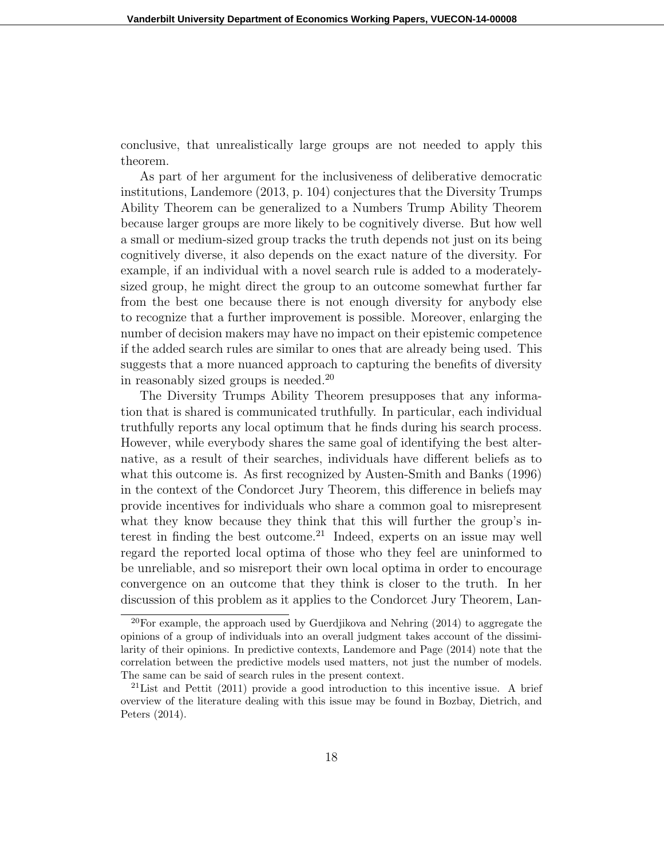conclusive, that unrealistically large groups are not needed to apply this theorem.

As part of her argument for the inclusiveness of deliberative democratic institutions, Landemore (2013, p. 104) conjectures that the Diversity Trumps Ability Theorem can be generalized to a Numbers Trump Ability Theorem because larger groups are more likely to be cognitively diverse. But how well a small or medium-sized group tracks the truth depends not just on its being cognitively diverse, it also depends on the exact nature of the diversity. For example, if an individual with a novel search rule is added to a moderatelysized group, he might direct the group to an outcome somewhat further far from the best one because there is not enough diversity for anybody else to recognize that a further improvement is possible. Moreover, enlarging the number of decision makers may have no impact on their epistemic competence if the added search rules are similar to ones that are already being used. This suggests that a more nuanced approach to capturing the benefits of diversity in reasonably sized groups is needed.<sup>20</sup>

The Diversity Trumps Ability Theorem presupposes that any information that is shared is communicated truthfully. In particular, each individual truthfully reports any local optimum that he finds during his search process. However, while everybody shares the same goal of identifying the best alternative, as a result of their searches, individuals have different beliefs as to what this outcome is. As first recognized by Austen-Smith and Banks (1996) in the context of the Condorcet Jury Theorem, this difference in beliefs may provide incentives for individuals who share a common goal to misrepresent what they know because they think that this will further the group's interest in finding the best outcome.<sup>21</sup> Indeed, experts on an issue may well regard the reported local optima of those who they feel are uninformed to be unreliable, and so misreport their own local optima in order to encourage convergence on an outcome that they think is closer to the truth. In her discussion of this problem as it applies to the Condorcet Jury Theorem, Lan-

<sup>20</sup>For example, the approach used by Guerdjikova and Nehring (2014) to aggregate the opinions of a group of individuals into an overall judgment takes account of the dissimilarity of their opinions. In predictive contexts, Landemore and Page (2014) note that the correlation between the predictive models used matters, not just the number of models. The same can be said of search rules in the present context.

<sup>&</sup>lt;sup>21</sup>List and Pettit  $(2011)$  provide a good introduction to this incentive issue. A brief overview of the literature dealing with this issue may be found in Bozbay, Dietrich, and Peters (2014).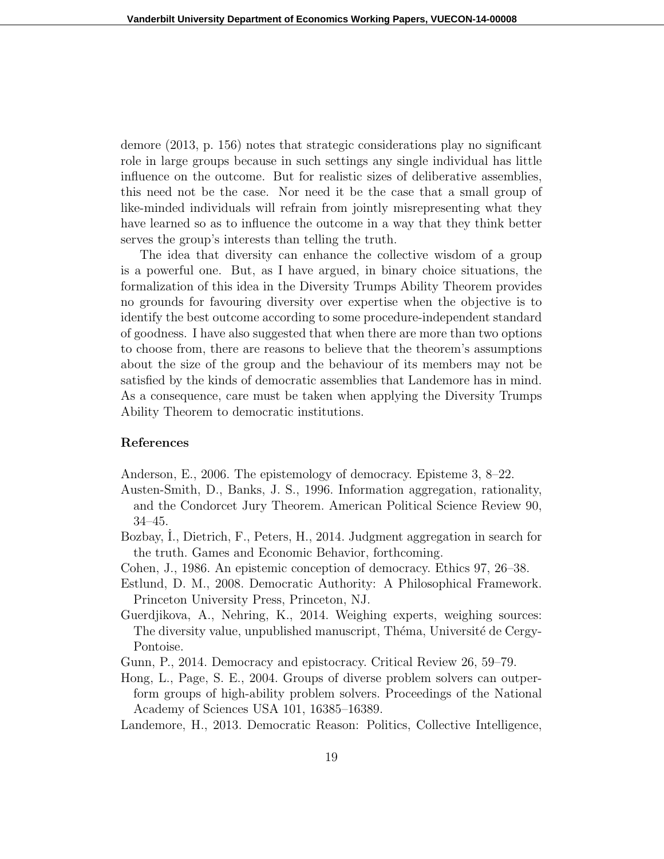demore (2013, p. 156) notes that strategic considerations play no significant role in large groups because in such settings any single individual has little influence on the outcome. But for realistic sizes of deliberative assemblies, this need not be the case. Nor need it be the case that a small group of like-minded individuals will refrain from jointly misrepresenting what they have learned so as to influence the outcome in a way that they think better serves the group's interests than telling the truth.

The idea that diversity can enhance the collective wisdom of a group is a powerful one. But, as I have argued, in binary choice situations, the formalization of this idea in the Diversity Trumps Ability Theorem provides no grounds for favouring diversity over expertise when the objective is to identify the best outcome according to some procedure-independent standard of goodness. I have also suggested that when there are more than two options to choose from, there are reasons to believe that the theorem's assumptions about the size of the group and the behaviour of its members may not be satisfied by the kinds of democratic assemblies that Landemore has in mind. As a consequence, care must be taken when applying the Diversity Trumps Ability Theorem to democratic institutions.

#### References

- Anderson, E., 2006. The epistemology of democracy. Episteme 3, 8–22.
- Austen-Smith, D., Banks, J. S., 1996. Information aggregation, rationality, and the Condorcet Jury Theorem. American Political Science Review 90, 34–45.
- Bozbay, I., Dietrich, F., Peters, H., 2014. Judgment aggregation in search for the truth. Games and Economic Behavior, forthcoming.
- Cohen, J., 1986. An epistemic conception of democracy. Ethics 97, 26–38.
- Estlund, D. M., 2008. Democratic Authority: A Philosophical Framework. Princeton University Press, Princeton, NJ.
- Guerdjikova, A., Nehring, K., 2014. Weighing experts, weighing sources: The diversity value, unpublished manuscript, Théma, Université de Cergy-Pontoise.
- Gunn, P., 2014. Democracy and epistocracy. Critical Review 26, 59–79.
- Hong, L., Page, S. E., 2004. Groups of diverse problem solvers can outperform groups of high-ability problem solvers. Proceedings of the National Academy of Sciences USA 101, 16385–16389.
- Landemore, H., 2013. Democratic Reason: Politics, Collective Intelligence,